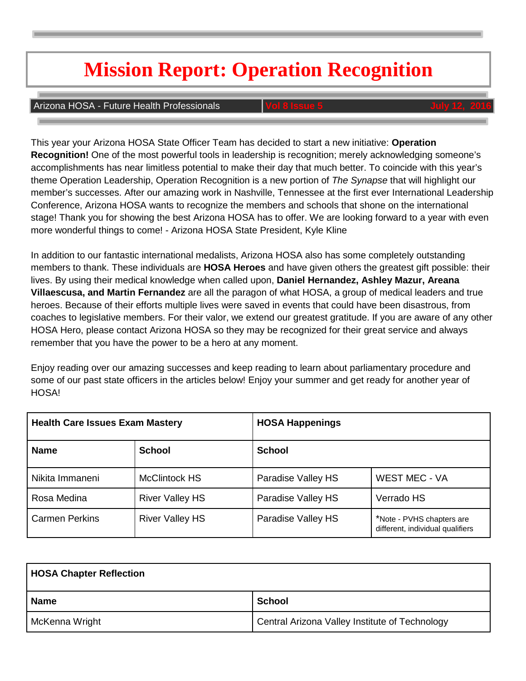## **Mission Report: Operation Recognition**

#### **Arizona HOSA - Future Health Professionals**

This year your Arizona HOSA State Officer Team has decided to start a new initiative: **Operation Recognition!** One of the most powerful tools in leadership is recognition; merely acknowledging someone's accomplishments has near limitless potential to make their day that much better. To coincide with this year's theme Operation Leadership, Operation Recognition is a new portion of *The Synapse* that will highlight our member's successes. After our amazing work in Nashville, Tennessee at the first ever International Leadership Conference, Arizona HOSA wants to recognize the members and schools that shone on the international stage! Thank you for showing the best Arizona HOSA has to offer. We are looking forward to a year with even more wonderful things to come! - Arizona HOSA State President, Kyle Kline

In addition to our fantastic international medalists, Arizona HOSA also has some completely outstanding members to thank. These individuals are **HOSA Heroes** and have given others the greatest gift possible: their lives. By using their medical knowledge when called upon, **Daniel Hernandez, Ashley Mazur, Areana Villaescusa, and Martin Fernandez** are all the paragon of what HOSA, a group of medical leaders and true heroes. Because of their efforts multiple lives were saved in events that could have been disastrous, from coaches to legislative members. For their valor, we extend our greatest gratitude. If you are aware of any other HOSA Hero, please contact Arizona HOSA so they may be recognized for their great service and always remember that you have the power to be a hero at any moment.

Enjoy reading over our amazing successes and keep reading to learn about parliamentary procedure and some of our past state officers in the articles below! Enjoy your summer and get ready for another year of HOSA!

| <b>Health Care Issues Exam Mastery</b> |                        | <b>HOSA Happenings</b> |                                                               |
|----------------------------------------|------------------------|------------------------|---------------------------------------------------------------|
| <b>Name</b>                            | <b>School</b>          | <b>School</b>          |                                                               |
| Nikita Immaneni                        | <b>McClintock HS</b>   | Paradise Valley HS     | <b>WEST MEC - VA</b>                                          |
| Rosa Medina                            | <b>River Valley HS</b> | Paradise Valley HS     | Verrado HS                                                    |
| <b>Carmen Perkins</b>                  | <b>River Valley HS</b> | Paradise Valley HS     | *Note - PVHS chapters are<br>different, individual qualifiers |

| <b>HOSA Chapter Reflection</b> |                                                |  |
|--------------------------------|------------------------------------------------|--|
| Name                           | <b>School</b>                                  |  |
| McKenna Wright                 | Central Arizona Valley Institute of Technology |  |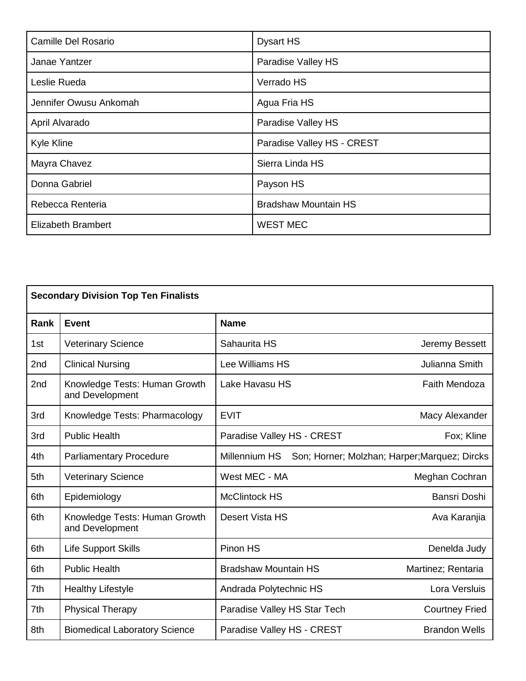| Camille Del Rosario       | <b>Dysart HS</b>            |  |
|---------------------------|-----------------------------|--|
| Janae Yantzer             | Paradise Valley HS          |  |
| Leslie Rueda              | Verrado HS                  |  |
| Jennifer Owusu Ankomah    | Agua Fria HS                |  |
| April Alvarado            | Paradise Valley HS          |  |
| <b>Kyle Kline</b>         | Paradise Valley HS - CREST  |  |
| Mayra Chavez              | Sierra Linda HS             |  |
| Donna Gabriel             | Payson HS                   |  |
| Rebecca Renteria          | <b>Bradshaw Mountain HS</b> |  |
| <b>Elizabeth Brambert</b> | <b>WEST MEC</b>             |  |

| <b>Secondary Division Top Ten Finalists</b> |                                                  |                                                                |                       |
|---------------------------------------------|--------------------------------------------------|----------------------------------------------------------------|-----------------------|
| Rank                                        | <b>Event</b>                                     | <b>Name</b>                                                    |                       |
| 1st                                         | <b>Veterinary Science</b>                        | Sahaurita HS                                                   | Jeremy Bessett        |
| 2nd                                         | <b>Clinical Nursing</b>                          | Lee Williams HS                                                | Julianna Smith        |
| 2nd                                         | Knowledge Tests: Human Growth<br>and Development | Lake Havasu HS                                                 | <b>Faith Mendoza</b>  |
| 3rd                                         | Knowledge Tests: Pharmacology                    | <b>EVIT</b>                                                    | Macy Alexander        |
| 3rd                                         | <b>Public Health</b>                             | Paradise Valley HS - CREST                                     | Fox; Kline            |
| 4th                                         | <b>Parliamentary Procedure</b>                   | Millennium HS<br>Son; Horner; Molzhan; Harper; Marquez; Dircks |                       |
| 5th                                         | <b>Veterinary Science</b>                        | West MEC - MA                                                  | Meghan Cochran        |
| 6th                                         | Epidemiology                                     | <b>McClintock HS</b>                                           | Bansri Doshi          |
| 6th                                         | Knowledge Tests: Human Growth<br>and Development | <b>Desert Vista HS</b>                                         | Ava Karanjia          |
| 6th                                         | <b>Life Support Skills</b>                       | Pinon HS                                                       | Denelda Judy          |
| 6th                                         | <b>Public Health</b>                             | <b>Bradshaw Mountain HS</b>                                    | Martinez; Rentaria    |
| 7th                                         | <b>Healthy Lifestyle</b>                         | Andrada Polytechnic HS                                         | Lora Versluis         |
| 7th                                         | <b>Physical Therapy</b>                          | Paradise Valley HS Star Tech                                   | <b>Courtney Fried</b> |
| 8th                                         | <b>Biomedical Laboratory Science</b>             | Paradise Valley HS - CREST<br><b>Brandon Wells</b>             |                       |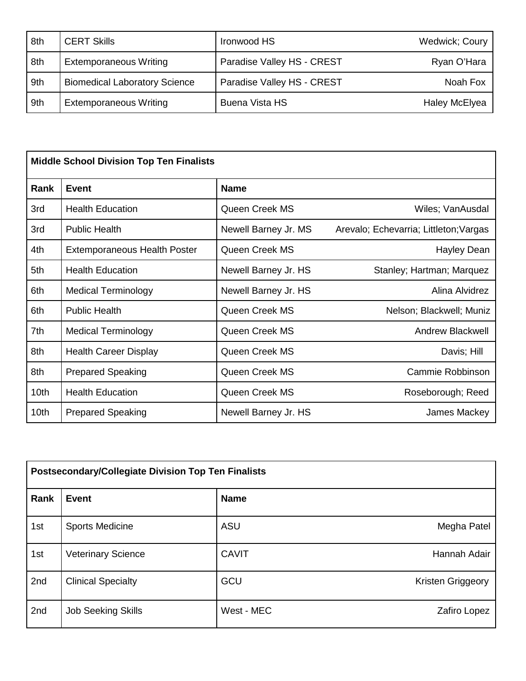| 8th | <b>CERT Skills</b>                   | Ironwood HS                | <b>Wedwick</b> ; Coury |
|-----|--------------------------------------|----------------------------|------------------------|
| 8th | <b>Extemporaneous Writing</b>        | Paradise Valley HS - CREST | Ryan O'Hara            |
| 9th | <b>Biomedical Laboratory Science</b> | Paradise Valley HS - CREST | Noah Fox               |
| 9th | <b>Extemporaneous Writing</b>        | <b>Buena Vista HS</b>      | <b>Haley McElyea</b>   |

| <b>Middle School Division Top Ten Finalists</b> |                                     |                      |                                        |
|-------------------------------------------------|-------------------------------------|----------------------|----------------------------------------|
| Rank                                            | <b>Event</b>                        | <b>Name</b>          |                                        |
| 3rd                                             | <b>Health Education</b>             | Queen Creek MS       | Wiles; VanAusdal                       |
| 3rd                                             | <b>Public Health</b>                | Newell Barney Jr. MS | Arevalo; Echevarria; Littleton; Vargas |
| 4th                                             | <b>Extemporaneous Health Poster</b> | Queen Creek MS       | Hayley Dean                            |
| 5th                                             | <b>Health Education</b>             | Newell Barney Jr. HS | Stanley; Hartman; Marquez              |
| 6th                                             | <b>Medical Terminology</b>          | Newell Barney Jr. HS | Alina Alvidrez                         |
| 6th                                             | <b>Public Health</b>                | Queen Creek MS       | Nelson; Blackwell; Muniz               |
| 7th                                             | <b>Medical Terminology</b>          | Queen Creek MS       | <b>Andrew Blackwell</b>                |
| 8th                                             | <b>Health Career Display</b>        | Queen Creek MS       | Davis; Hill                            |
| 8th                                             | <b>Prepared Speaking</b>            | Queen Creek MS       | Cammie Robbinson                       |
| 10th                                            | <b>Health Education</b>             | Queen Creek MS       | Roseborough; Reed                      |
| 10 <sub>th</sub>                                | <b>Prepared Speaking</b>            | Newell Barney Jr. HS | James Mackey                           |

| <b>Postsecondary/Collegiate Division Top Ten Finalists</b> |                           |              |                   |
|------------------------------------------------------------|---------------------------|--------------|-------------------|
| <b>Rank</b>                                                | <b>Event</b>              | <b>Name</b>  |                   |
| 1st                                                        | <b>Sports Medicine</b>    | <b>ASU</b>   | Megha Patel       |
| 1st                                                        | <b>Veterinary Science</b> | <b>CAVIT</b> | Hannah Adair      |
| 2nd                                                        | <b>Clinical Specialty</b> | GCU          | Kristen Griggeory |
| 2nd                                                        | <b>Job Seeking Skills</b> | West - MEC   | Zafiro Lopez      |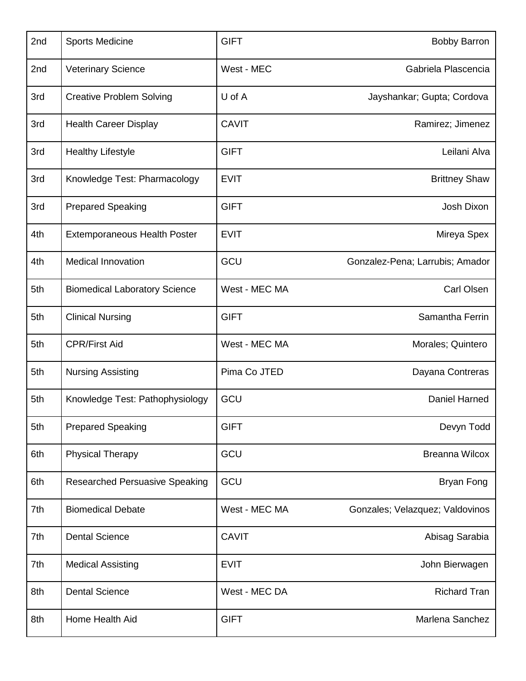| 2nd | <b>Sports Medicine</b>                | <b>GIFT</b>   | <b>Bobby Barron</b>             |
|-----|---------------------------------------|---------------|---------------------------------|
| 2nd | <b>Veterinary Science</b>             | West - MEC    | Gabriela Plascencia             |
| 3rd | <b>Creative Problem Solving</b>       | $U$ of $A$    | Jayshankar; Gupta; Cordova      |
| 3rd | <b>Health Career Display</b>          | <b>CAVIT</b>  | Ramirez; Jimenez                |
| 3rd | <b>Healthy Lifestyle</b>              | <b>GIFT</b>   | Leilani Alva                    |
| 3rd | Knowledge Test: Pharmacology          | <b>EVIT</b>   | <b>Brittney Shaw</b>            |
| 3rd | <b>Prepared Speaking</b>              | <b>GIFT</b>   | Josh Dixon                      |
| 4th | <b>Extemporaneous Health Poster</b>   | <b>EVIT</b>   | Mireya Spex                     |
| 4th | <b>Medical Innovation</b>             | GCU           | Gonzalez-Pena; Larrubis; Amador |
| 5th | <b>Biomedical Laboratory Science</b>  | West - MEC MA | <b>Carl Olsen</b>               |
| 5th | <b>Clinical Nursing</b>               | <b>GIFT</b>   | Samantha Ferrin                 |
| 5th | <b>CPR/First Aid</b>                  | West - MEC MA | Morales; Quintero               |
| 5th | <b>Nursing Assisting</b>              | Pima Co JTED  | Dayana Contreras                |
| 5th | Knowledge Test: Pathophysiology       | GCU           | Daniel Harned                   |
| 5th | <b>Prepared Speaking</b>              | <b>GIFT</b>   | Devyn Todd                      |
| 6th | <b>Physical Therapy</b>               | GCU           | <b>Breanna Wilcox</b>           |
| 6th | <b>Researched Persuasive Speaking</b> | GCU           | <b>Bryan Fong</b>               |
| 7th | <b>Biomedical Debate</b>              | West - MEC MA | Gonzales; Velazquez; Valdovinos |
| 7th | <b>Dental Science</b>                 | <b>CAVIT</b>  | Abisag Sarabia                  |
| 7th | <b>Medical Assisting</b>              | <b>EVIT</b>   | John Bierwagen                  |
| 8th | <b>Dental Science</b>                 | West - MEC DA | <b>Richard Tran</b>             |
| 8th | Home Health Aid                       | <b>GIFT</b>   | Marlena Sanchez                 |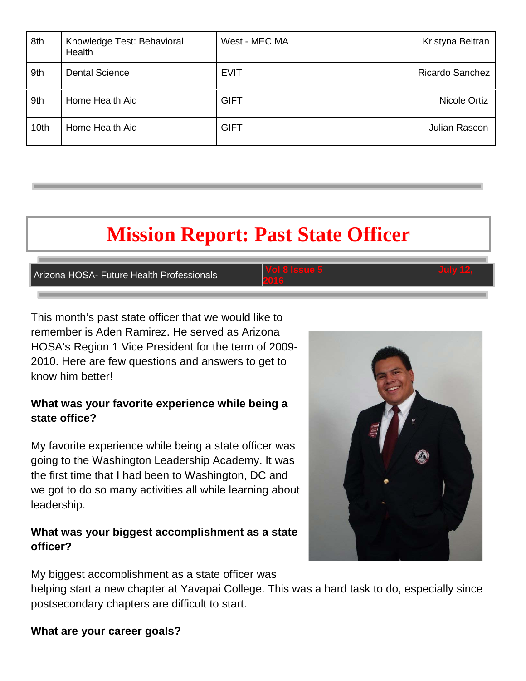| 8th  | Knowledge Test: Behavioral<br>Health | West - MEC MA | Kristyna Beltran       |
|------|--------------------------------------|---------------|------------------------|
| 9th  | <b>Dental Science</b>                | <b>EVIT</b>   | <b>Ricardo Sanchez</b> |
| 9th  | Home Health Aid                      | <b>GIFT</b>   | Nicole Ortiz           |
| 10th | Home Health Aid                      | <b>GIFT</b>   | Julian Rascon          |

### **Mission Report: Past State Officer**

**Arizona HOSA- Future Health Professionals** 

**2016** 

This month's past state officer that we would like to remember is Aden Ramirez. He served as Arizona HOSA's Region 1 Vice President for the term of 2009- 2010. Here are few questions and answers to get to know him better!

#### **What was your favorite experience while being a state office?**

My favorite experience while being a state officer was going to the Washington Leadership Academy. It was the first time that I had been to Washington, DC and we got to do so many activities all while learning about leadership.

#### **What was your biggest accomplishment as a state officer?**

My biggest accomplishment as a state officer was

helping start a new chapter at Yavapai College. This was a hard task to do, especially since postsecondary chapters are difficult to start.

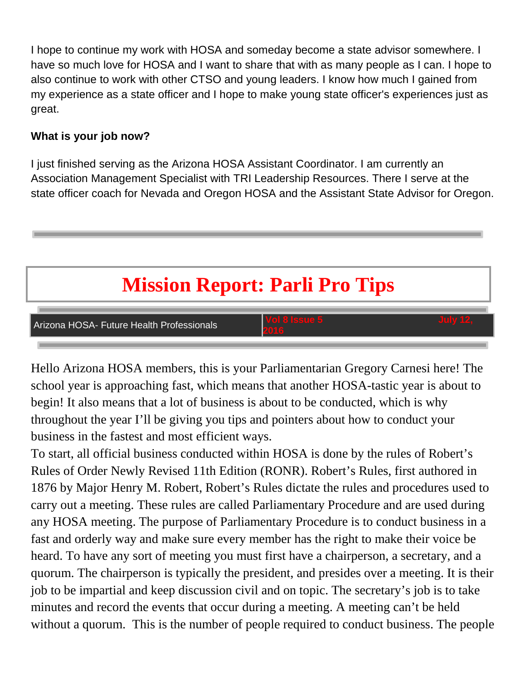I hope to continue my work with HOSA and someday become a state advisor somewhere. I have so much love for HOSA and I want to share that with as many people as I can. I hope to also continue to work with other CTSO and young leaders. I know how much I gained from my experience as a state officer and I hope to make young state officer's experiences just as great.

### **What is your job now?**

I just finished serving as the Arizona HOSA Assistant Coordinator. I am currently an Association Management Specialist with TRI Leadership Resources. There I serve at the state officer coach for Nevada and Oregon HOSA and the Assistant State Advisor for Oregon.

# **Mission Report: Parli Pro Tips**



Hello Arizona HOSA members, this is your Parliamentarian Gregory Carnesi here! The school year is approaching fast, which means that another HOSA-tastic year is about to begin! It also means that a lot of business is about to be conducted, which is why throughout the year I'll be giving you tips and pointers about how to conduct your business in the fastest and most efficient ways.

To start, all official business conducted within HOSA is done by the rules of Robert's Rules of Order Newly Revised 11th Edition (RONR). Robert's Rules, first authored in 1876 by Major Henry M. Robert, Robert's Rules dictate the rules and procedures used to carry out a meeting. These rules are called Parliamentary Procedure and are used during any HOSA meeting. The purpose of Parliamentary Procedure is to conduct business in a fast and orderly way and make sure every member has the right to make their voice be heard. To have any sort of meeting you must first have a chairperson, a secretary, and a quorum. The chairperson is typically the president, and presides over a meeting. It is their job to be impartial and keep discussion civil and on topic. The secretary's job is to take minutes and record the events that occur during a meeting. A meeting can't be held without a quorum. This is the number of people required to conduct business. The people